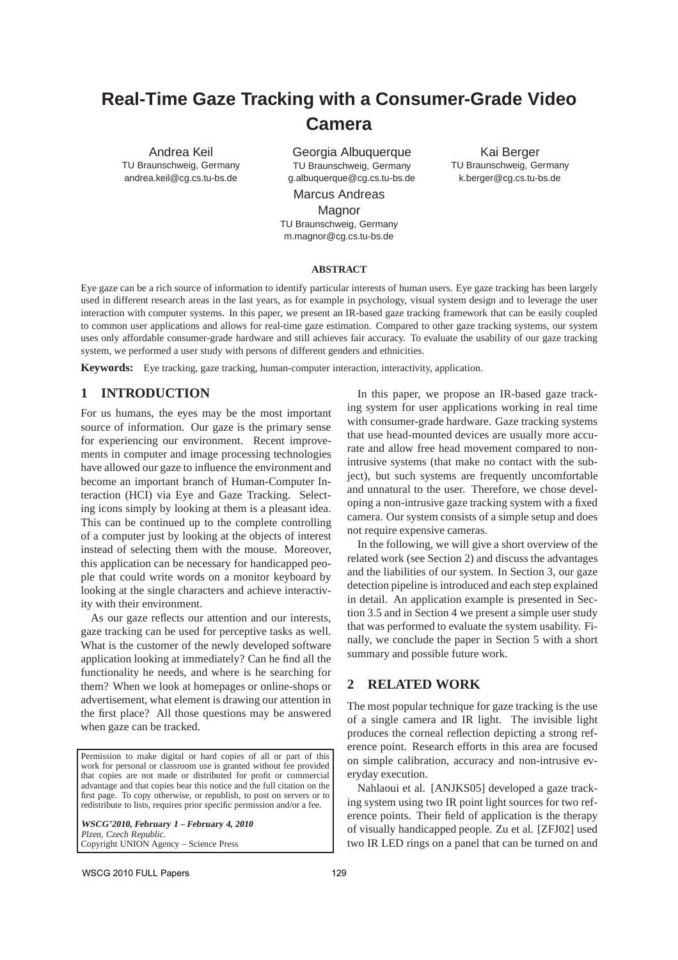# **Real-Time Gaze Tracking with a Consumer-Grade Video Camera**

Andrea Keil TU Braunschweig, Germany andrea.keil@cg.cs.tu-bs.de

Georgia Albuquerque TU Braunschweig, Germany g.albuquerque@cg.cs.tu-bs.de

Marcus Andreas **Magnor** TU Braunschweig, Germany m.magnor@cg.cs.tu-bs.de

#### Kai Berger TU Braunschweig, Germany k.berger@cg.cs.tu-bs.de

#### **ABSTRACT**

Eye gaze can be a rich source of information to identify particular interests of human users. Eye gaze tracking has been largely used in different research areas in the last years, as for example in psychology, visual system design and to leverage the user interaction with computer systems. In this paper, we present an IR-based gaze tracking framework that can be easily coupled to common user applications and allows for real-time gaze estimation. Compared to other gaze tracking systems, our system uses only affordable consumer-grade hardware and still achieves fair accuracy. To evaluate the usability of our gaze tracking system, we performed a user study with persons of different genders and ethnicities.

**Keywords:** Eye tracking, gaze tracking, human-computer interaction, interactivity, application.

## **1 INTRODUCTION**

For us humans, the eyes may be the most important source of information. Our gaze is the primary sense for experiencing our environment. Recent improvements in computer and image processing technologies have allowed our gaze to influence the environment and become an important branch of Human-Computer Interaction (HCI) via Eye and Gaze Tracking. Selecting icons simply by looking at them is a pleasant idea. This can be continued up to the complete controlling of a computer just by looking at the objects of interest instead of selecting them with the mouse. Moreover, this application can be necessary for handicapped people that could write words on a monitor keyboard by looking at the single characters and achieve interactivity with their environment.

As our gaze reflects our attention and our interests, gaze tracking can be used for perceptive tasks as well. What is the customer of the newly developed software application looking at immediately? Can he find all the functionality he needs, and where is he searching for them? When we look at homepages or online-shops or advertisement, what element is drawing our attention in the first place? All those questions may be answered when gaze can be tracked.

Permission to make digital or hard copies of all or part of this work for personal or classroom use is granted without fee provided that copies are not made or distributed for profit or commercial advantage and that copies bear this notice and the full citation on the first page. To copy otherwise, or republish, to post on servers or to redistribute to lists, requires prior specific permission and/or a fee.

**WSCG'2010, February <sup>1</sup> – February 4, <sup>2010</sup>** Plzen, Czech Republic. Copyright UNION Agency – Science Press

In this paper, we propose an IR-based gaze tracking system for user applications working in real time with consumer-grade hardware. Gaze tracking systems that use head-mounted devices are usually more accurate and allow free head movement compared to nonintrusive systems (that make no contact with the subject), but such systems are frequently uncomfortable and unnatural to the user. Therefore, we chose developing a non-intrusive gaze tracking system with a fixed camera. Our system consists of a simple setup and does not require expensive cameras.

In the following, we will give a short overview of the related work (see Section 2) and discuss the advantages and the liabilities of our system. In Section 3, our gaze detection pipeline is introduced and each step explained in detail. An application example is presented in Section 3.5 and in Section 4 we present a simple user study that was performed to evaluate the system usability. Finally, we conclude the paper in Section 5 with a short summary and possible future work.

## **2 RELATED WORK**

The most popular technique for gaze tracking is the use of a single camera and IR light. The invisible light produces the corneal reflection depicting a strong reference point. Research efforts in this area are focused on simple calibration, accuracy and non-intrusive everyday execution.

Nahlaoui et al. [ANJKS05] developed a gaze tracking system using two IR point light sources for two reference points. Their field of application is the therapy of visually handicapped people. Zu et al. [ZFJ02] used two IR LED rings on a panel that can be turned on and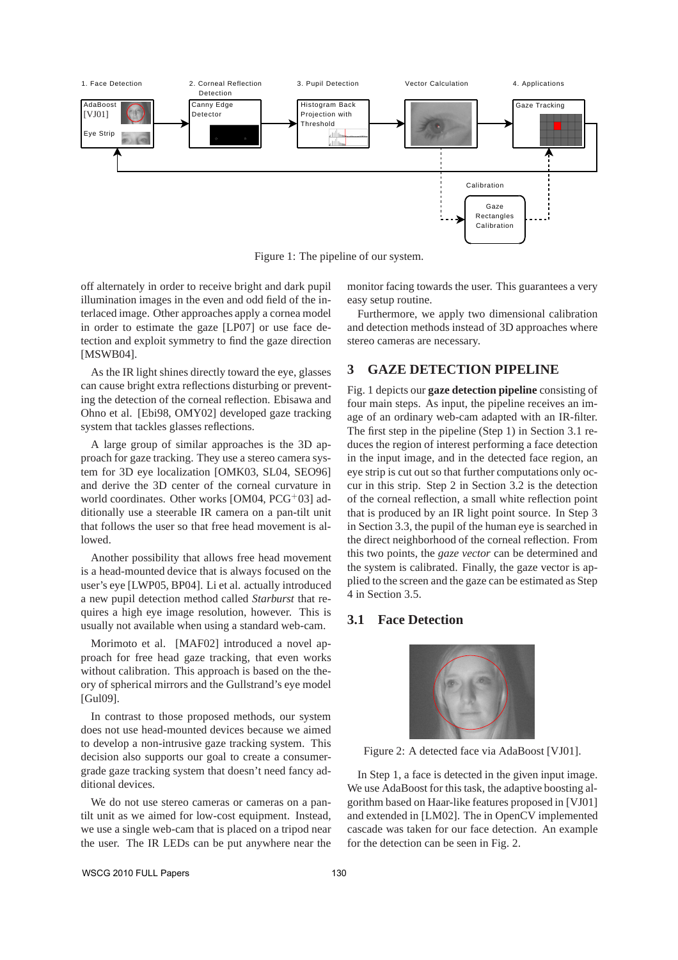

Figure 1: The pipeline of our system.

off alternately in order to receive bright and dark pupil illumination images in the even and odd field of the interlaced image. Other approaches apply a cornea model in order to estimate the gaze [LP07] or use face detection and exploit symmetry to find the gaze direction [MSWB04].

As the IR light shines directly toward the eye, glasses can cause bright extra reflections disturbing or preventing the detection of the corneal reflection. Ebisawa and Ohno et al. [Ebi98, OMY02] developed gaze tracking system that tackles glasses reflections.

A large group of similar approaches is the 3D approach for gaze tracking. They use a stereo camera system for 3D eye localization [OMK03, SL04, SEO96] and derive the 3D center of the corneal curvature in world coordinates. Other works  $[OM04, PCG<sup>+</sup>03]$  additionally use a steerable IR camera on a pan-tilt unit that follows the user so that free head movement is allowed.

Another possibility that allows free head movement is a head-mounted device that is always focused on the user's eye [LWP05, BP04]. Li et al. actually introduced a new pupil detection method called *Starburst* that requires a high eye image resolution, however. This is usually not available when using a standard web-cam.

Morimoto et al. [MAF02] introduced a novel approach for free head gaze tracking, that even works without calibration. This approach is based on the theory of spherical mirrors and the Gullstrand's eye model [Gul09].

In contrast to those proposed methods, our system does not use head-mounted devices because we aimed to develop a non-intrusive gaze tracking system. This decision also supports our goal to create a consumergrade gaze tracking system that doesn't need fancy additional devices.

We do not use stereo cameras or cameras on a pantilt unit as we aimed for low-cost equipment. Instead, we use a single web-cam that is placed on a tripod near the user. The IR LEDs can be put anywhere near the

monitor facing towards the user. This guarantees a very easy setup routine.

Furthermore, we apply two dimensional calibration and detection methods instead of 3D approaches where stereo cameras are necessary.

# **3 GAZE DETECTION PIPELINE**

Fig. 1 depicts our **gaze detection pipeline** consisting of four main steps. As input, the pipeline receives an image of an ordinary web-cam adapted with an IR-filter. The first step in the pipeline (Step 1) in Section 3.1 reduces the region of interest performing a face detection in the input image, and in the detected face region, an eye strip is cut out so that further computations only occur in this strip. Step 2 in Section 3.2 is the detection of the corneal reflection, a small white reflection point that is produced by an IR light point source. In Step 3 in Section 3.3, the pupil of the human eye is searched in the direct neighborhood of the corneal reflection. From this two points, the *gaze vector* can be determined and the system is calibrated. Finally, the gaze vector is applied to the screen and the gaze can be estimated as Step 4 in Section 3.5.

#### **3.1 Face Detection**



Figure 2: A detected face via AdaBoost [VJ01].

In Step 1, a face is detected in the given input image. We use AdaBoost for this task, the adaptive boosting algorithm based on Haar-like features proposed in [VJ01] and extended in [LM02]. The in OpenCV implemented cascade was taken for our face detection. An example for the detection can be seen in Fig. 2.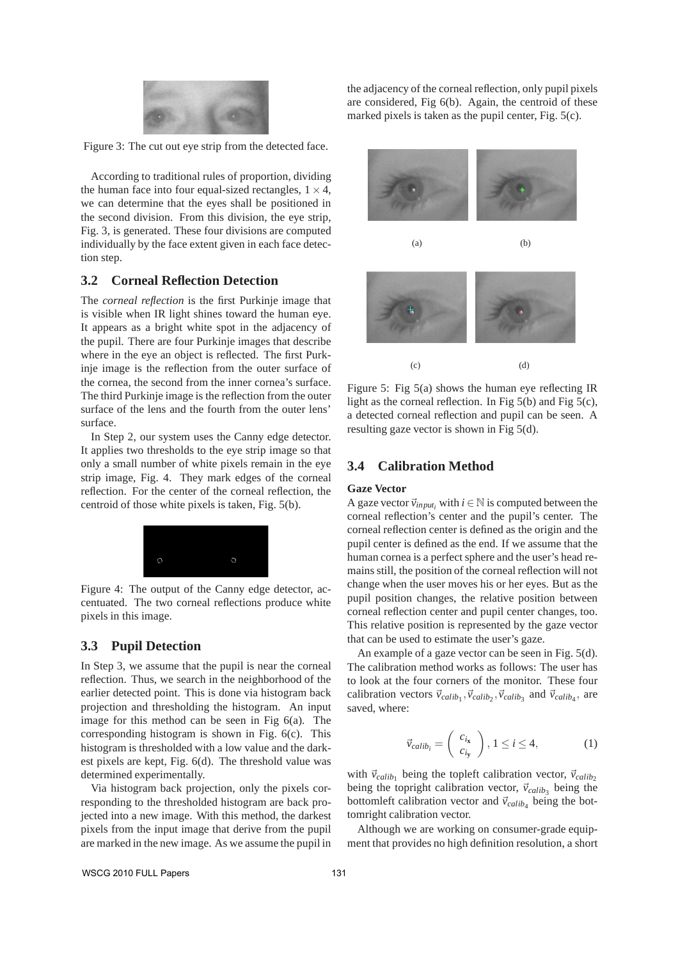

Figure 3: The cut out eye strip from the detected face.

According to traditional rules of proportion, dividing the human face into four equal-sized rectangles,  $1 \times 4$ , we can determine that the eyes shall be positioned in the second division. From this division, the eye strip, Fig. 3, is generated. These four divisions are computed individually by the face extent given in each face detection step.

## **3.2 Corneal Reflection Detection**

The *corneal reflection* is the first Purkinje image that is visible when IR light shines toward the human eye. It appears as a bright white spot in the adjacency of the pupil. There are four Purkinje images that describe where in the eye an object is reflected. The first Purkinje image is the reflection from the outer surface of the cornea, the second from the inner cornea's surface. The third Purkinje image is the reflection from the outer surface of the lens and the fourth from the outer lens' surface.

In Step 2, our system uses the Canny edge detector. It applies two thresholds to the eye strip image so that only a small number of white pixels remain in the eye strip image, Fig. 4. They mark edges of the corneal reflection. For the center of the corneal reflection, the centroid of those white pixels is taken, Fig. 5(b).



Figure 4: The output of the Canny edge detector, accentuated. The two corneal reflections produce white pixels in this image.

#### **3.3 Pupil Detection**

In Step 3, we assume that the pupil is near the corneal reflection. Thus, we search in the neighborhood of the earlier detected point. This is done via histogram back projection and thresholding the histogram. An input image for this method can be seen in Fig 6(a). The corresponding histogram is shown in Fig. 6(c). This histogram is thresholded with a low value and the darkest pixels are kept, Fig. 6(d). The threshold value was determined experimentally.

Via histogram back projection, only the pixels corresponding to the thresholded histogram are back projected into a new image. With this method, the darkest pixels from the input image that derive from the pupil are marked in the new image. As we assume the pupil in

the adjacency of the corneal reflection, only pupil pixels are considered, Fig 6(b). Again, the centroid of these marked pixels is taken as the pupil center, Fig. 5(c).



Figure 5: Fig 5(a) shows the human eye reflecting IR light as the corneal reflection. In Fig  $5(b)$  and Fig  $5(c)$ , a detected corneal reflection and pupil can be seen. A resulting gaze vector is shown in Fig 5(d).

### **3.4 Calibration Method**

#### **Gaze Vector**

A gaze vector  $\vec{v}_{input_i}$  with  $i \in \mathbb{N}$  is computed between the corneal reflection's center and the pupil's center. The corneal reflection center is defined as the origin and the pupil center is defined as the end. If we assume that the human cornea is a perfect sphere and the user's head remains still, the position of the corneal reflection will not change when the user moves his or her eyes. But as the pupil position changes, the relative position between corneal reflection center and pupil center changes, too. This relative position is represented by the gaze vector that can be used to estimate the user's gaze.

An example of a gaze vector can be seen in Fig. 5(d). The calibration method works as follows: The user has to look at the four corners of the monitor. These four calibration vectors  $\vec{v}_{calib_1}$ ,  $\vec{v}_{calib_2}$ ,  $\vec{v}_{calib_3}$  and  $\vec{v}_{calib_4}$ , are saved, where:

$$
\vec{v}_{calib_i} = \begin{pmatrix} c_{i_{\mathbf{x}}} \\ c_{i_{\mathbf{y}}} \end{pmatrix}, 1 \le i \le 4,
$$
 (1)

with  $\vec{v}_{calib_1}$  being the topleft calibration vector,  $\vec{v}_{calib_2}$ being the topright calibration vector,  $\vec{v}_{calib_3}$  being the bottomleft calibration vector and  $\vec{v}_{calib4}$  being the bottomright calibration vector.

Although we are working on consumer-grade equipment that provides no high definition resolution, a short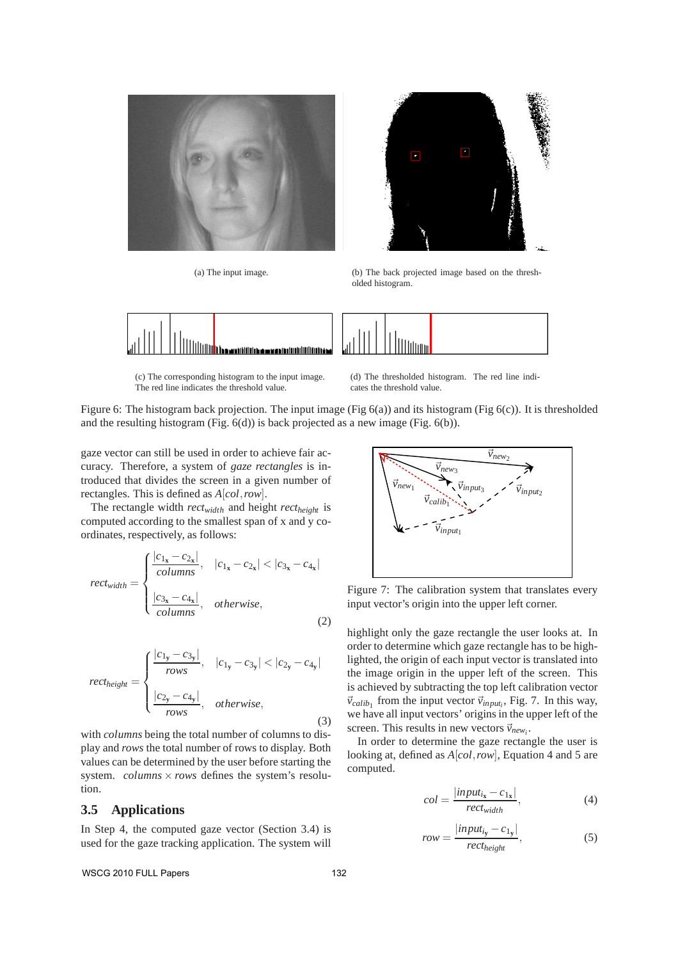



(a) The input image. (b) The back projected image based on the thresholded histogram.



(c) The corresponding histogram to the input image. The red line indicates the threshold value.

(d) The thresholded histogram. The red line indicates the threshold value.

Figure 6: The histogram back projection. The input image (Fig  $6(a)$ ) and its histogram (Fig  $6(c)$ ). It is thresholded and the resulting histogram (Fig. 6(d)) is back projected as a new image (Fig. 6(b)).

gaze vector can still be used in order to achieve fair accuracy. Therefore, a system of *gaze rectangles* is introduced that divides the screen in a given number of rectangles. This is defined as *A*[*col*,*row*].

The rectangle width *rectwidth* and height *rectheight* is computed according to the smallest span of x and y coordinates, respectively, as follows:

$$
rect_{width} = \begin{cases} \frac{|c_{1x} - c_{2x}|}{columns}, & |c_{1x} - c_{2x}| < |c_{3x} - c_{4x}|\\ \frac{|c_{3x} - c_{4x}|}{columns}, & otherwise, \end{cases}
$$
(2)

$$
rect_{height} = \begin{cases} \frac{|c_{1y} - c_{3y}|}{rows}, & |c_{1y} - c_{3y}| < |c_{2y} - c_{4y}|\\ \frac{|c_{2y} - c_{4y}|}{rows}, & otherwise, \end{cases}
$$
(3)

with *columns* being the total number of columns to display and *rows* the total number of rows to display. Both values can be determined by the user before starting the system. *columns*  $\times$  *rows* defines the system's resolution.

# **3.5 Applications**

In Step 4, the computed gaze vector (Section 3.4) is used for the gaze tracking application. The system will



Figure 7: The calibration system that translates every input vector's origin into the upper left corner.

highlight only the gaze rectangle the user looks at. In order to determine which gaze rectangle has to be highlighted, the origin of each input vector is translated into the image origin in the upper left of the screen. This is achieved by subtracting the top left calibration vector  $\vec{v}_{calib_1}$  from the input vector  $\vec{v}_{input_i}$ , Fig. 7. In this way, we have all input vectors' origins in the upper left of the screen. This results in new vectors  $\vec{v}_{new_i}$ .

In order to determine the gaze rectangle the user is looking at, defined as *A*[*col*,*row*], Equation 4 and 5 are computed.

$$
col = \frac{|input_{i_{\mathbf{x}}} - c_{1_{\mathbf{x}}}|}{rect_{width}},
$$
\n(4)

$$
row = \frac{|input_{i_y} - c_{1_y}|}{rect_{height}},
$$
\n(5)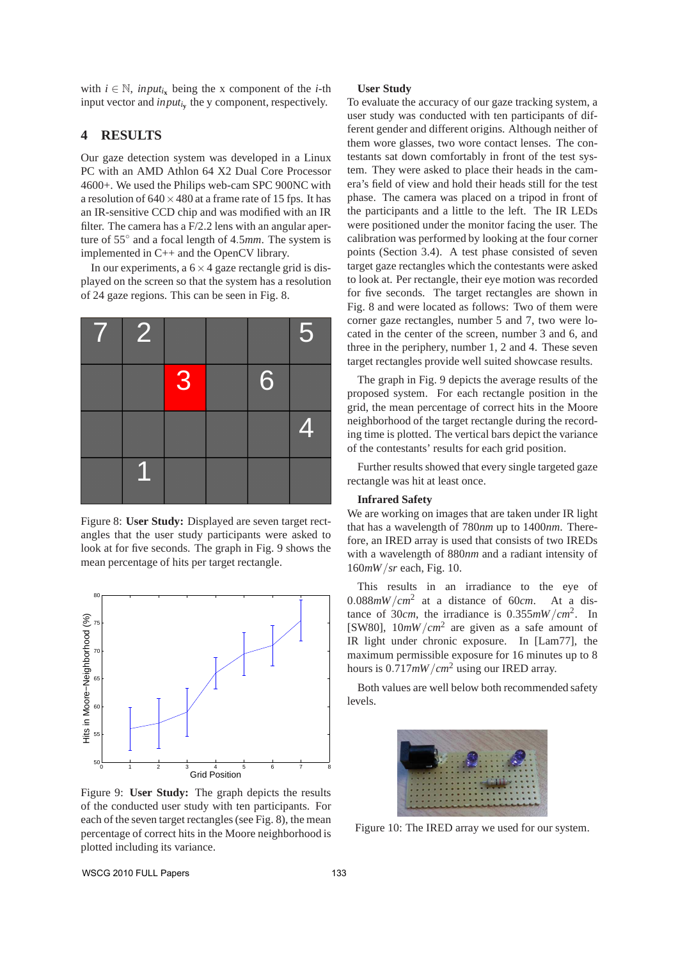with  $i \in \mathbb{N}$ , *input*<sub>ix</sub> being the x component of the *i*-th input vector and *inputi***<sup>y</sup>** the y component, respectively.

# **4 RESULTS**

Our gaze detection system was developed in a Linux PC with an AMD Athlon 64 X2 Dual Core Processor 4600+. We used the Philips web-cam SPC 900NC with a resolution of  $640 \times 480$  at a frame rate of 15 fps. It has an IR-sensitive CCD chip and was modified with an IR filter. The camera has a F/2.2 lens with an angular aperture of 55◦ and a focal length of 4.5*mm*. The system is implemented in C++ and the OpenCV library.

In our experiments, a  $6 \times 4$  gaze rectangle grid is displayed on the screen so that the system has a resolution of 24 gaze regions. This can be seen in Fig. 8.



Figure 8: **User Study:** Displayed are seven target rectangles that the user study participants were asked to look at for five seconds. The graph in Fig. 9 shows the mean percentage of hits per target rectangle.



Figure 9: **User Study:** The graph depicts the results of the conducted user study with ten participants. For each of the seven target rectangles (see Fig. 8), the mean percentage of correct hits in the Moore neighborhood is plotted including its variance.

#### **User Study**

To evaluate the accuracy of our gaze tracking system, a user study was conducted with ten participants of different gender and different origins. Although neither of them wore glasses, two wore contact lenses. The contestants sat down comfortably in front of the test system. They were asked to place their heads in the camera's field of view and hold their heads still for the test phase. The camera was placed on a tripod in front of the participants and a little to the left. The IR LEDs were positioned under the monitor facing the user. The calibration was performed by looking at the four corner points (Section 3.4). A test phase consisted of seven target gaze rectangles which the contestants were asked to look at. Per rectangle, their eye motion was recorded for five seconds. The target rectangles are shown in Fig. 8 and were located as follows: Two of them were corner gaze rectangles, number 5 and 7, two were located in the center of the screen, number 3 and 6, and three in the periphery, number 1, 2 and 4. These seven target rectangles provide well suited showcase results.

The graph in Fig. 9 depicts the average results of the proposed system. For each rectangle position in the grid, the mean percentage of correct hits in the Moore neighborhood of the target rectangle during the recording time is plotted. The vertical bars depict the variance of the contestants' results for each grid position.

Further results showed that every single targeted gaze rectangle was hit at least once.

#### **Infrared Safety**

We are working on images that are taken under IR light that has a wavelength of 780*nm* up to 1400*nm*. Therefore, an IRED array is used that consists of two IREDs with a wavelength of 880*nm* and a radiant intensity of 160*mW*/*sr* each, Fig. 10.

This results in an irradiance to the eye of  $0.088mW/cm^2$  at a distance of 60*cm*. At a distance of 30*cm*, the irradiance is 0.355*mW*/*cm*<sup>2</sup> . In [SW80],  $10mW/cm^2$  are given as a safe amount of IR light under chronic exposure. In [Lam77], the maximum permissible exposure for 16 minutes up to 8 hours is 0.717*mW*/*cm*<sup>2</sup> using our IRED array.

Both values are well below both recommended safety levels.



Figure 10: The IRED array we used for our system.